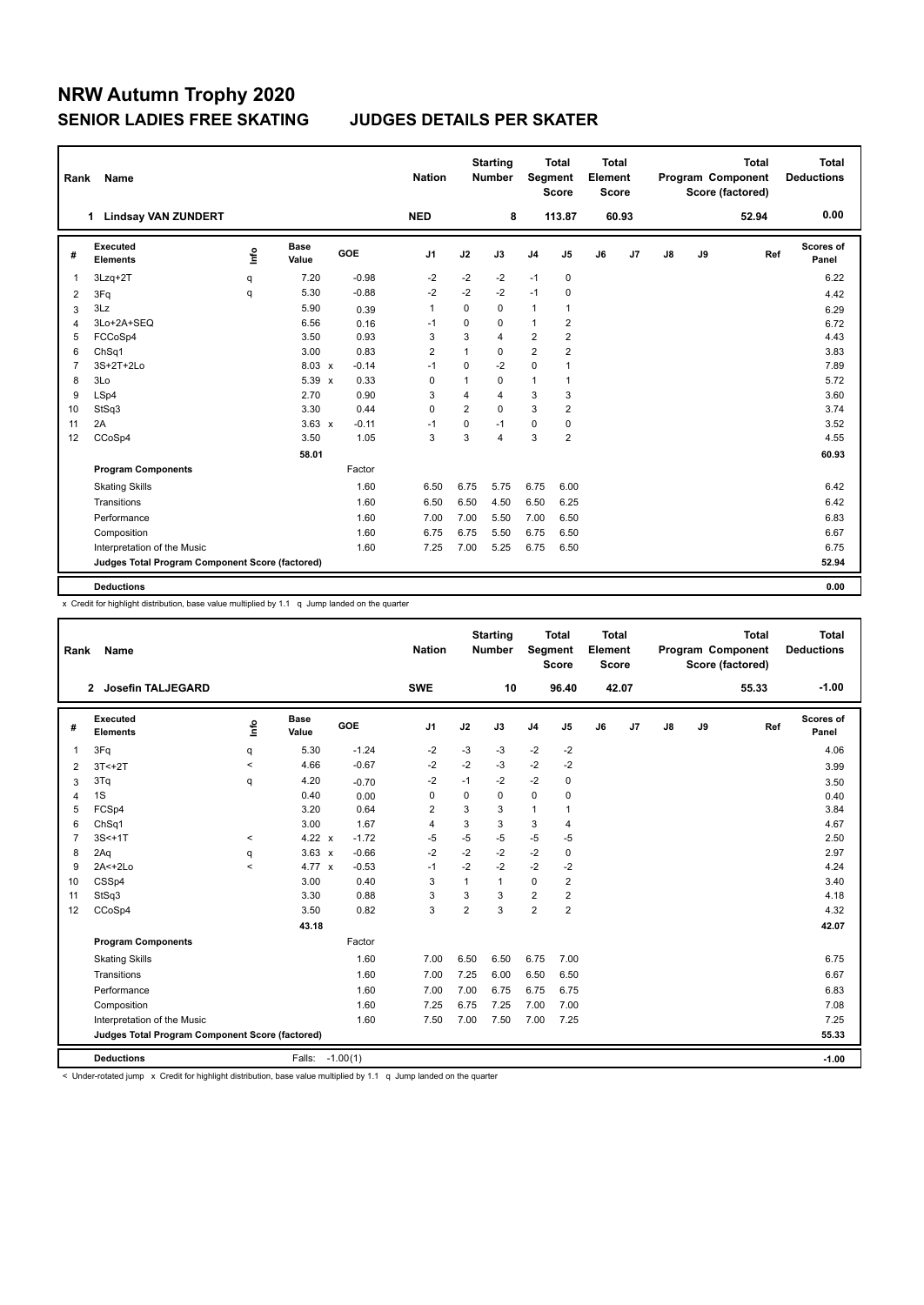| Rank           | <b>Name</b>                                     |      |                      |            | <b>Nation</b>  |                | <b>Starting</b><br><b>Number</b> | Segment        | <b>Total</b><br><b>Score</b> | <b>Total</b><br>Element<br><b>Score</b> |       |               |    | <b>Total</b><br>Program Component<br>Score (factored) | <b>Total</b><br><b>Deductions</b> |
|----------------|-------------------------------------------------|------|----------------------|------------|----------------|----------------|----------------------------------|----------------|------------------------------|-----------------------------------------|-------|---------------|----|-------------------------------------------------------|-----------------------------------|
|                | <b>Lindsay VAN ZUNDERT</b><br>$\mathbf 1$       |      |                      |            | <b>NED</b>     |                | 8                                |                | 113.87                       |                                         | 60.93 |               |    | 52.94                                                 | 0.00                              |
| #              | Executed<br><b>Elements</b>                     | Info | <b>Base</b><br>Value | <b>GOE</b> | J <sub>1</sub> | J2             | J3                               | J <sub>4</sub> | J5                           | J6                                      | J7    | $\mathsf{J}8$ | J9 | Ref                                                   | Scores of<br>Panel                |
| $\overline{1}$ | 3Lzq+2T                                         | q    | 7.20                 | $-0.98$    | $-2$           | $-2$           | $-2$                             | $-1$           | 0                            |                                         |       |               |    |                                                       | 6.22                              |
| 2              | 3Fq                                             | q    | 5.30                 | $-0.88$    | $-2$           | $-2$           | $-2$                             | $-1$           | 0                            |                                         |       |               |    |                                                       | 4.42                              |
| 3              | 3Lz                                             |      | 5.90                 | 0.39       | $\mathbf{1}$   | 0              | 0                                | $\mathbf{1}$   | 1                            |                                         |       |               |    |                                                       | 6.29                              |
| $\overline{4}$ | 3Lo+2A+SEQ                                      |      | 6.56                 | 0.16       | $-1$           | $\Omega$       | $\Omega$                         | $\mathbf{1}$   | 2                            |                                         |       |               |    |                                                       | 6.72                              |
| 5              | FCCoSp4                                         |      | 3.50                 | 0.93       | 3              | 3              | 4                                | $\overline{2}$ | $\overline{2}$               |                                         |       |               |    |                                                       | 4.43                              |
| 6              | ChSq1                                           |      | 3.00                 | 0.83       | $\overline{2}$ | $\overline{1}$ | 0                                | $\overline{2}$ | $\overline{2}$               |                                         |       |               |    |                                                       | 3.83                              |
| $\overline{7}$ | 3S+2T+2Lo                                       |      | $8.03 \times$        | $-0.14$    | $-1$           | $\mathbf 0$    | $-2$                             | $\mathbf 0$    |                              |                                         |       |               |    |                                                       | 7.89                              |
| 8              | 3Lo                                             |      | $5.39 \times$        | 0.33       | $\mathbf 0$    | $\mathbf{1}$   | $\Omega$                         | $\mathbf{1}$   | 1                            |                                         |       |               |    |                                                       | 5.72                              |
| 9              | LSp4                                            |      | 2.70                 | 0.90       | 3              | 4              | 4                                | 3              | 3                            |                                         |       |               |    |                                                       | 3.60                              |
| 10             | StSq3                                           |      | 3.30                 | 0.44       | $\Omega$       | $\overline{2}$ | $\Omega$                         | 3              | $\overline{2}$               |                                         |       |               |    |                                                       | 3.74                              |
| 11             | 2A                                              |      | $3.63 \times$        | $-0.11$    | $-1$           | $\mathbf 0$    | $-1$                             | $\mathbf 0$    | $\mathbf 0$                  |                                         |       |               |    |                                                       | 3.52                              |
| 12             | CCoSp4                                          |      | 3.50                 | 1.05       | 3              | 3              | 4                                | 3              | 2                            |                                         |       |               |    |                                                       | 4.55                              |
|                |                                                 |      | 58.01                |            |                |                |                                  |                |                              |                                         |       |               |    |                                                       | 60.93                             |
|                | <b>Program Components</b>                       |      |                      | Factor     |                |                |                                  |                |                              |                                         |       |               |    |                                                       |                                   |
|                | <b>Skating Skills</b>                           |      |                      | 1.60       | 6.50           | 6.75           | 5.75                             | 6.75           | 6.00                         |                                         |       |               |    |                                                       | 6.42                              |
|                | Transitions                                     |      |                      | 1.60       | 6.50           | 6.50           | 4.50                             | 6.50           | 6.25                         |                                         |       |               |    |                                                       | 6.42                              |
|                | Performance                                     |      |                      | 1.60       | 7.00           | 7.00           | 5.50                             | 7.00           | 6.50                         |                                         |       |               |    |                                                       | 6.83                              |
|                | Composition                                     |      |                      | 1.60       | 6.75           | 6.75           | 5.50                             | 6.75           | 6.50                         |                                         |       |               |    |                                                       | 6.67                              |
|                | Interpretation of the Music                     |      |                      | 1.60       | 7.25           | 7.00           | 5.25                             | 6.75           | 6.50                         |                                         |       |               |    |                                                       | 6.75                              |
|                | Judges Total Program Component Score (factored) |      |                      |            |                |                |                                  |                |                              |                                         |       |               |    |                                                       | 52.94                             |
|                |                                                 |      |                      |            |                |                |                                  |                |                              |                                         |       |               |    |                                                       |                                   |
|                | <b>Deductions</b>                               |      |                      |            |                |                |                                  |                |                              |                                         |       |               |    |                                                       | 0.00                              |

x Credit for highlight distribution, base value multiplied by 1.1 q Jump landed on the quarter

| Rank           | Name                                            |       |                      |            | <b>Nation</b>  |                | <b>Starting</b><br><b>Number</b> | Segment        | <b>Total</b><br><b>Score</b> | <b>Total</b><br>Element<br><b>Score</b> |                |               |    | <b>Total</b><br>Program Component<br>Score (factored) | <b>Total</b><br><b>Deductions</b> |
|----------------|-------------------------------------------------|-------|----------------------|------------|----------------|----------------|----------------------------------|----------------|------------------------------|-----------------------------------------|----------------|---------------|----|-------------------------------------------------------|-----------------------------------|
|                | <b>Josefin TALJEGARD</b><br>$\mathbf{2}$        |       |                      |            | <b>SWE</b>     |                | 10                               |                | 96.40                        |                                         | 42.07          |               |    | 55.33                                                 | $-1.00$                           |
| #              | Executed<br><b>Elements</b>                     | lnfo  | <b>Base</b><br>Value | GOE        | J <sub>1</sub> | J2             | J3                               | J <sub>4</sub> | J5                           | J6                                      | J <sub>7</sub> | $\mathsf{J}8$ | J9 | Ref                                                   | Scores of<br>Panel                |
| $\mathbf{1}$   | 3Fq                                             | q     | 5.30                 | $-1.24$    | $-2$           | $-3$           | $-3$                             | $-2$           | $-2$                         |                                         |                |               |    |                                                       | 4.06                              |
| 2              | $3T < +2T$                                      | $\,<$ | 4.66                 | $-0.67$    | $-2$           | $-2$           | $-3$                             | $-2$           | $-2$                         |                                         |                |               |    |                                                       | 3.99                              |
| 3              | 3Tq                                             | q     | 4.20                 | $-0.70$    | $-2$           | $-1$           | $-2$                             | $-2$           | 0                            |                                         |                |               |    |                                                       | 3.50                              |
| $\overline{4}$ | 1S                                              |       | 0.40                 | 0.00       | 0              | 0              | 0                                | 0              | 0                            |                                         |                |               |    |                                                       | 0.40                              |
| 5              | FCSp4                                           |       | 3.20                 | 0.64       | $\overline{2}$ | 3              | 3                                | 1              | $\overline{1}$               |                                         |                |               |    |                                                       | 3.84                              |
| 6              | ChSq1                                           |       | 3.00                 | 1.67       | 4              | 3              | 3                                | 3              | $\overline{4}$               |                                         |                |               |    |                                                       | 4.67                              |
| $\overline{7}$ | $3S < +1T$                                      | $\,<$ | $4.22 \times$        | $-1.72$    | $-5$           | $-5$           | $-5$                             | $-5$           | -5                           |                                         |                |               |    |                                                       | 2.50                              |
| 8              | 2Aq                                             | q     | $3.63 \times$        | $-0.66$    | $-2$           | $-2$           | $-2$                             | $-2$           | $\pmb{0}$                    |                                         |                |               |    |                                                       | 2.97                              |
| 9              | $2A2$ -2Lo                                      | $\,<$ | 4.77 x               | $-0.53$    | $-1$           | $-2$           | $-2$                             | $-2$           | $-2$                         |                                         |                |               |    |                                                       | 4.24                              |
| 10             | CSSp4                                           |       | 3.00                 | 0.40       | 3              | 1              | $\mathbf{1}$                     | $\Omega$       | $\overline{2}$               |                                         |                |               |    |                                                       | 3.40                              |
| 11             | StSq3                                           |       | 3.30                 | 0.88       | 3              | 3              | 3                                | $\overline{2}$ | $\overline{2}$               |                                         |                |               |    |                                                       | 4.18                              |
| 12             | CCoSp4                                          |       | 3.50                 | 0.82       | 3              | $\overline{2}$ | 3                                | $\overline{2}$ | $\overline{2}$               |                                         |                |               |    |                                                       | 4.32                              |
|                |                                                 |       | 43.18                |            |                |                |                                  |                |                              |                                         |                |               |    |                                                       | 42.07                             |
|                | <b>Program Components</b>                       |       |                      | Factor     |                |                |                                  |                |                              |                                         |                |               |    |                                                       |                                   |
|                | <b>Skating Skills</b>                           |       |                      | 1.60       | 7.00           | 6.50           | 6.50                             | 6.75           | 7.00                         |                                         |                |               |    |                                                       | 6.75                              |
|                | Transitions                                     |       |                      | 1.60       | 7.00           | 7.25           | 6.00                             | 6.50           | 6.50                         |                                         |                |               |    |                                                       | 6.67                              |
|                | Performance                                     |       |                      | 1.60       | 7.00           | 7.00           | 6.75                             | 6.75           | 6.75                         |                                         |                |               |    |                                                       | 6.83                              |
|                | Composition                                     |       |                      | 1.60       | 7.25           | 6.75           | 7.25                             | 7.00           | 7.00                         |                                         |                |               |    |                                                       | 7.08                              |
|                | Interpretation of the Music                     |       |                      | 1.60       | 7.50           | 7.00           | 7.50                             | 7.00           | 7.25                         |                                         |                |               |    |                                                       | 7.25                              |
|                | Judges Total Program Component Score (factored) |       |                      |            |                |                |                                  |                |                              |                                         |                |               |    |                                                       | 55.33                             |
|                | <b>Deductions</b>                               |       | Falls:               | $-1.00(1)$ |                |                |                                  |                |                              |                                         |                |               |    |                                                       | $-1.00$                           |

< Under-rotated jump x Credit for highlight distribution, base value multiplied by 1.1 q Jump landed on the quarter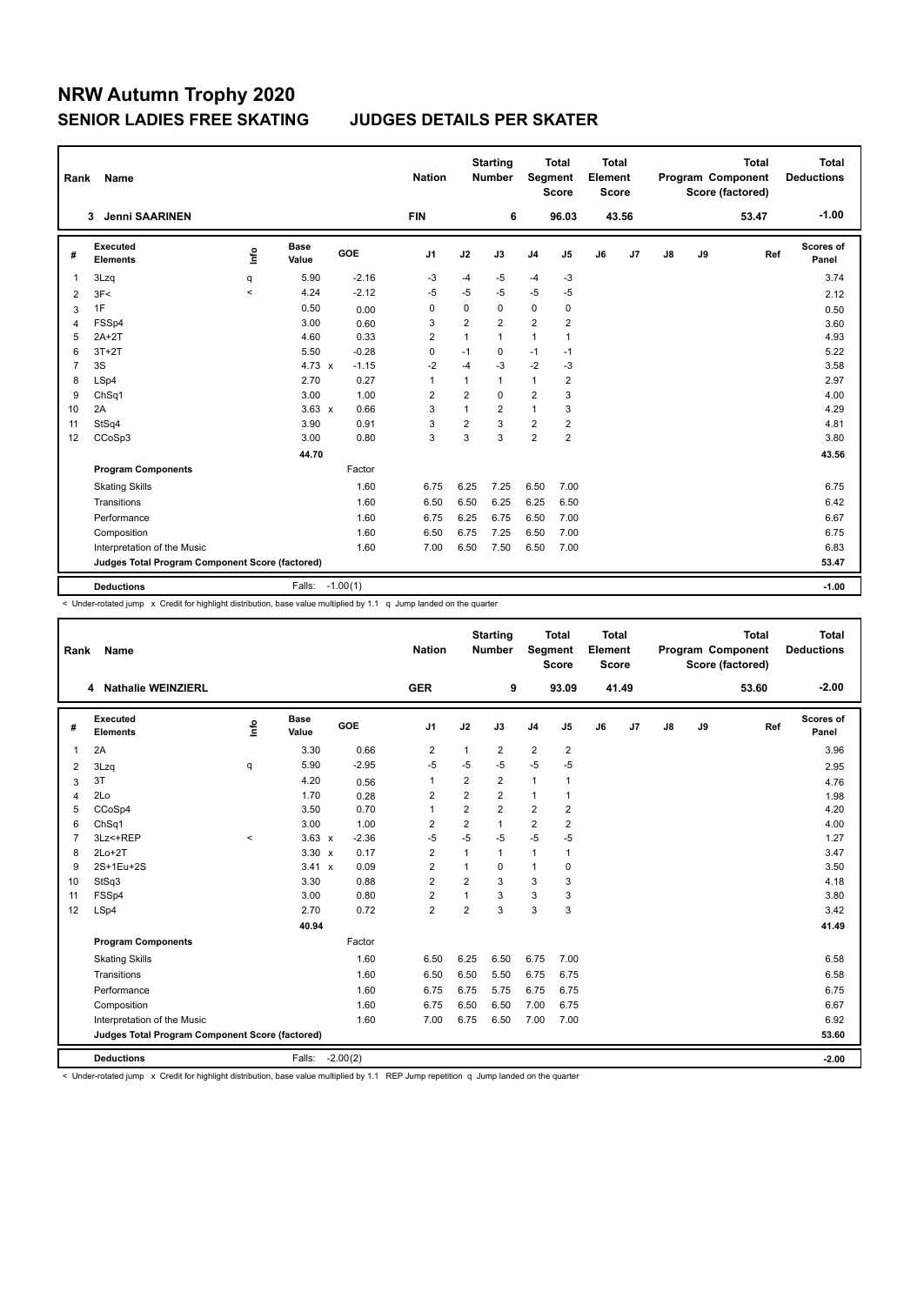| Rank           | <b>Name</b>                                     |         |                      |         | <b>Nation</b>  |                | <b>Starting</b><br><b>Number</b> | Segment        | <b>Total</b><br><b>Score</b> | Total<br>Element<br><b>Score</b> |                |               |    | <b>Total</b><br>Program Component<br>Score (factored) | Total<br><b>Deductions</b> |
|----------------|-------------------------------------------------|---------|----------------------|---------|----------------|----------------|----------------------------------|----------------|------------------------------|----------------------------------|----------------|---------------|----|-------------------------------------------------------|----------------------------|
|                | <b>Jenni SAARINEN</b><br>3                      |         |                      |         | <b>FIN</b>     |                | 6                                |                | 96.03                        |                                  | 43.56          |               |    | 53.47                                                 | $-1.00$                    |
| #              | Executed<br><b>Elements</b>                     | lnfo    | <b>Base</b><br>Value | GOE     | J <sub>1</sub> | J2             | J3                               | J <sub>4</sub> | J5                           | J6                               | J <sub>7</sub> | $\mathsf{J}8$ | J9 | Ref                                                   | <b>Scores of</b><br>Panel  |
| $\overline{1}$ | 3Lzq                                            | q       | 5.90                 | $-2.16$ | -3             | $-4$           | -5                               | $-4$           | $-3$                         |                                  |                |               |    |                                                       | 3.74                       |
| $\overline{2}$ | 3F<                                             | $\prec$ | 4.24                 | $-2.12$ | $-5$           | $-5$           | $-5$                             | $-5$           | $-5$                         |                                  |                |               |    |                                                       | 2.12                       |
| 3              | 1F                                              |         | 0.50                 | 0.00    | 0              | 0              | 0                                | 0              | 0                            |                                  |                |               |    |                                                       | 0.50                       |
| $\overline{4}$ | FSSp4                                           |         | 3.00                 | 0.60    | 3              | $\overline{2}$ | $\overline{2}$                   | $\overline{2}$ | $\overline{2}$               |                                  |                |               |    |                                                       | 3.60                       |
| 5              | $2A+2T$                                         |         | 4.60                 | 0.33    | $\overline{2}$ | $\mathbf{1}$   | 1                                | $\mathbf{1}$   | $\mathbf{1}$                 |                                  |                |               |    |                                                       | 4.93                       |
| 6              | $3T+2T$                                         |         | 5.50                 | $-0.28$ | $\mathbf 0$    | $-1$           | 0                                | $-1$           | $-1$                         |                                  |                |               |    |                                                       | 5.22                       |
| $\overline{7}$ | 3S                                              |         | $4.73 \times$        | $-1.15$ | $-2$           | $-4$           | $-3$                             | $-2$           | $-3$                         |                                  |                |               |    |                                                       | 3.58                       |
| 8              | LSp4                                            |         | 2.70                 | 0.27    | $\overline{1}$ | $\mathbf{1}$   | 1                                | $\mathbf{1}$   | $\overline{2}$               |                                  |                |               |    |                                                       | 2.97                       |
| 9              | Ch <sub>Sq1</sub>                               |         | 3.00                 | 1.00    | 2              | $\overline{2}$ | 0                                | $\overline{2}$ | 3                            |                                  |                |               |    |                                                       | 4.00                       |
| 10             | 2A                                              |         | $3.63 \times$        | 0.66    | 3              | $\mathbf{1}$   | $\overline{2}$                   | $\mathbf{1}$   | 3                            |                                  |                |               |    |                                                       | 4.29                       |
| 11             | StSq4                                           |         | 3.90                 | 0.91    | 3              | $\overline{2}$ | 3                                | $\overline{2}$ | $\overline{2}$               |                                  |                |               |    |                                                       | 4.81                       |
| 12             | CCoSp3                                          |         | 3.00                 | 0.80    | 3              | 3              | 3                                | $\overline{2}$ | $\overline{2}$               |                                  |                |               |    |                                                       | 3.80                       |
|                |                                                 |         | 44.70                |         |                |                |                                  |                |                              |                                  |                |               |    |                                                       | 43.56                      |
|                | <b>Program Components</b>                       |         |                      | Factor  |                |                |                                  |                |                              |                                  |                |               |    |                                                       |                            |
|                | <b>Skating Skills</b>                           |         |                      | 1.60    | 6.75           | 6.25           | 7.25                             | 6.50           | 7.00                         |                                  |                |               |    |                                                       | 6.75                       |
|                | Transitions                                     |         |                      | 1.60    | 6.50           | 6.50           | 6.25                             | 6.25           | 6.50                         |                                  |                |               |    |                                                       | 6.42                       |
|                | Performance                                     |         |                      | 1.60    | 6.75           | 6.25           | 6.75                             | 6.50           | 7.00                         |                                  |                |               |    |                                                       | 6.67                       |
|                | Composition                                     |         |                      | 1.60    | 6.50           | 6.75           | 7.25                             | 6.50           | 7.00                         |                                  |                |               |    |                                                       | 6.75                       |
|                | Interpretation of the Music                     |         |                      | 1.60    | 7.00           | 6.50           | 7.50                             | 6.50           | 7.00                         |                                  |                |               |    |                                                       | 6.83                       |
|                | Judges Total Program Component Score (factored) |         |                      |         |                |                |                                  |                |                              |                                  |                |               |    |                                                       | 53.47                      |
|                |                                                 |         |                      |         |                |                |                                  |                |                              |                                  |                |               |    |                                                       |                            |
|                | <b>Deductions</b>                               |         | Falls: -1.00(1)      |         |                |                |                                  |                |                              |                                  |                |               |    |                                                       | $-1.00$                    |

< Under-rotated jump x Credit for highlight distribution, base value multiplied by 1.1 q Jump landed on the quarter

| Rank                                            | <b>Name</b>                 |         |                      |            | <b>Nation</b>  |                | <b>Starting</b><br><b>Number</b> | Segment        | <b>Total</b><br><b>Score</b> | <b>Total</b><br>Element<br><b>Score</b> |                |    |       | <b>Total</b><br>Program Component<br>Score (factored) | <b>Total</b><br><b>Deductions</b> |
|-------------------------------------------------|-----------------------------|---------|----------------------|------------|----------------|----------------|----------------------------------|----------------|------------------------------|-----------------------------------------|----------------|----|-------|-------------------------------------------------------|-----------------------------------|
|                                                 | 4 Nathalie WEINZIERL        |         |                      |            | <b>GER</b>     |                | 9                                |                | 93.09                        |                                         | 41.49          |    |       | 53.60                                                 | $-2.00$                           |
| #                                               | Executed<br><b>Elements</b> | ۴       | <b>Base</b><br>Value | GOE        | J1             | J2             | J3                               | J <sub>4</sub> | J5                           | J6                                      | J <sub>7</sub> | J8 | J9    | Ref                                                   | Scores of<br>Panel                |
| 1                                               | 2A                          |         | 3.30                 | 0.66       | $\overline{2}$ | 1              | $\overline{2}$                   | $\overline{2}$ | 2                            |                                         |                |    |       |                                                       | 3.96                              |
| 2                                               | 3Lzq                        | q       | 5.90                 | $-2.95$    | $-5$           | $-5$           | $-5$                             | $-5$           | $-5$                         |                                         |                |    |       |                                                       | 2.95                              |
| 3                                               | 3T                          |         | 4.20                 | 0.56       | $\mathbf{1}$   | $\overline{2}$ | $\overline{2}$                   | $\mathbf{1}$   | 1                            |                                         |                |    |       |                                                       | 4.76                              |
| 4                                               | 2Lo                         |         | 1.70                 | 0.28       | 2              | $\overline{2}$ | $\overline{2}$                   | $\mathbf{1}$   | $\mathbf{1}$                 |                                         |                |    |       |                                                       | 1.98                              |
| 5                                               | CCoSp4                      |         | 3.50                 | 0.70       | $\mathbf{1}$   | $\overline{2}$ | $\overline{2}$                   | $\overline{2}$ | $\overline{2}$               |                                         |                |    |       |                                                       | 4.20                              |
| 6                                               | ChSq1                       |         | 3.00                 | 1.00       | $\overline{2}$ | $\overline{2}$ | $\mathbf{1}$                     | $\overline{2}$ | $\overline{2}$               |                                         |                |    |       |                                                       | 4.00                              |
| 7                                               | 3Lz <+REP                   | $\prec$ | $3.63 \times$        | $-2.36$    | $-5$           | $-5$           | $-5$                             | $-5$           | $-5$                         |                                         |                |    |       |                                                       | 1.27                              |
| 8                                               | $2Lo+2T$                    |         | $3.30 \times$        | 0.17       | $\overline{2}$ | $\overline{1}$ | $\mathbf{1}$                     | 1              | 1                            |                                         |                |    |       |                                                       | 3.47                              |
| 9                                               | 2S+1Eu+2S                   |         | 3.41 x               | 0.09       | $\overline{2}$ | $\mathbf{1}$   | $\Omega$                         | $\mathbf{1}$   | 0                            |                                         |                |    |       |                                                       | 3.50                              |
| 10                                              | StSq3                       |         | 3.30                 | 0.88       | $\overline{2}$ | $\overline{2}$ | 3                                | 3              | 3                            |                                         |                |    |       |                                                       | 4.18                              |
| 11                                              | FSSp4                       |         | 3.00                 | 0.80       | $\overline{2}$ |                | 3                                | 3              | 3                            |                                         |                |    |       |                                                       | 3.80                              |
| 12                                              | LSp4                        |         | 2.70                 | 0.72       | $\overline{2}$ | $\overline{2}$ | 3                                | 3              | 3                            |                                         |                |    |       |                                                       | 3.42                              |
|                                                 |                             |         | 40.94                |            |                |                |                                  |                |                              |                                         |                |    |       |                                                       | 41.49                             |
|                                                 | <b>Program Components</b>   |         |                      | Factor     |                |                |                                  |                |                              |                                         |                |    |       |                                                       |                                   |
|                                                 | <b>Skating Skills</b>       |         |                      | 1.60       | 6.50           | 6.25           | 6.50                             | 6.75           | 7.00                         |                                         |                |    |       |                                                       | 6.58                              |
|                                                 | Transitions                 |         |                      | 1.60       | 6.50           | 6.50           | 5.50                             | 6.75           | 6.75                         |                                         |                |    |       |                                                       | 6.58                              |
|                                                 | Performance                 |         |                      | 1.60       | 6.75           | 6.75           | 5.75                             | 6.75           | 6.75                         |                                         |                |    |       |                                                       | 6.75                              |
|                                                 | Composition                 |         |                      | 1.60       | 6.75           | 6.50           | 6.50                             | 7.00           | 6.75                         |                                         |                |    |       |                                                       | 6.67                              |
|                                                 | Interpretation of the Music |         |                      | 1.60       | 7.00           | 6.75           | 6.50                             | 7.00           | 7.00                         |                                         |                |    |       |                                                       | 6.92                              |
| Judges Total Program Component Score (factored) |                             |         |                      |            |                |                |                                  |                |                              |                                         |                |    | 53.60 |                                                       |                                   |
|                                                 | <b>Deductions</b>           |         | Falls:               | $-2.00(2)$ |                |                |                                  |                |                              |                                         |                |    |       |                                                       | $-2.00$                           |

< Under-rotated jump x Credit for highlight distribution, base value multiplied by 1.1 REP Jump repetition q Jump landed on the quarter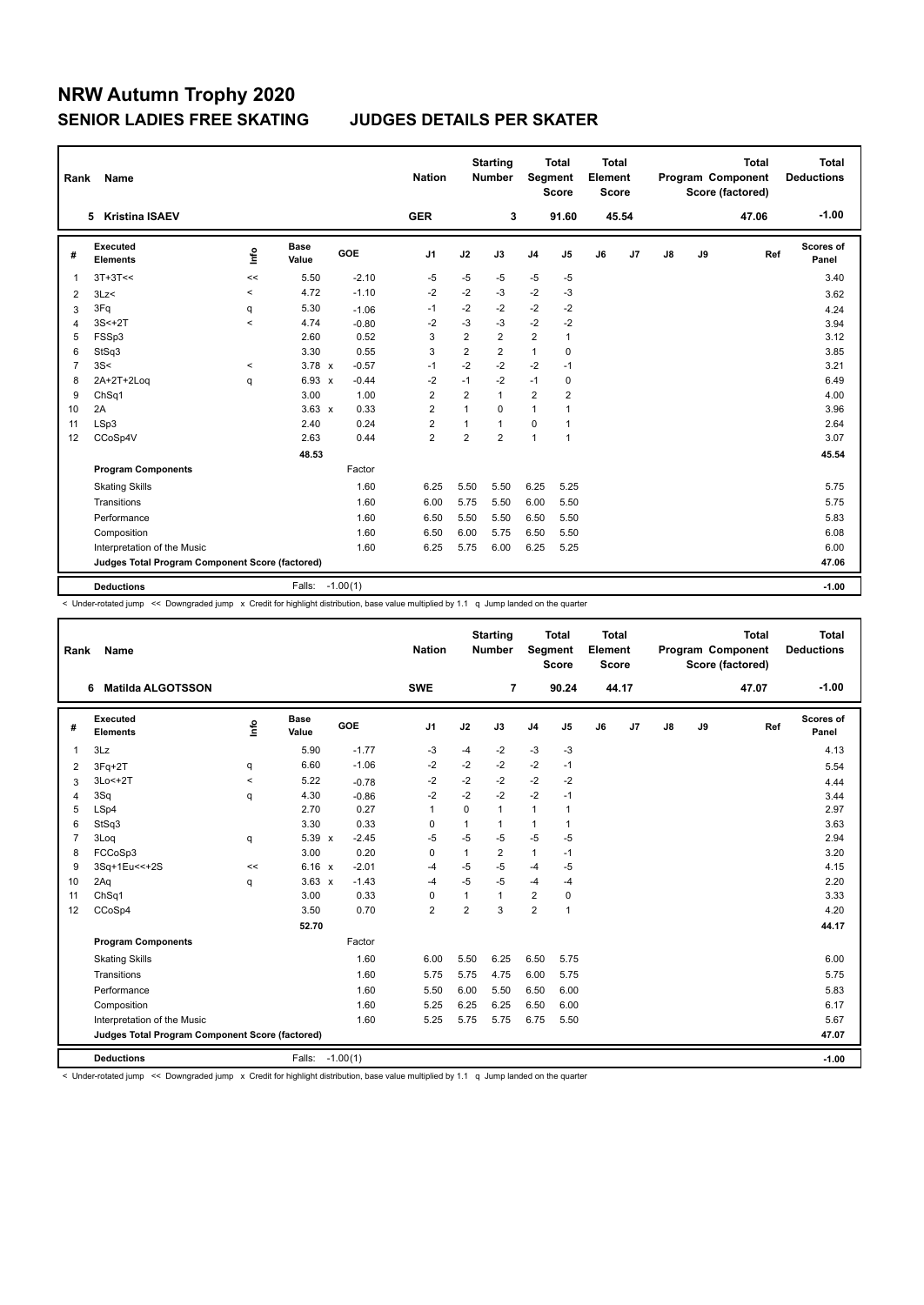| Rank           | Name                                            |       |                      |            | <b>Nation</b>  |                | <b>Starting</b><br><b>Number</b> | Segment        | <b>Total</b><br><b>Score</b> | <b>Total</b><br>Element<br><b>Score</b> |       |               |    | <b>Total</b><br>Program Component<br>Score (factored) | <b>Total</b><br><b>Deductions</b> |
|----------------|-------------------------------------------------|-------|----------------------|------------|----------------|----------------|----------------------------------|----------------|------------------------------|-----------------------------------------|-------|---------------|----|-------------------------------------------------------|-----------------------------------|
|                | <b>Kristina ISAEV</b><br>5                      |       |                      |            | <b>GER</b>     |                | 3                                |                | 91.60                        |                                         | 45.54 |               |    | 47.06                                                 | $-1.00$                           |
| #              | Executed<br><b>Elements</b>                     | lnfo  | <b>Base</b><br>Value | GOE        | J <sub>1</sub> | J2             | J3                               | J <sub>4</sub> | J <sub>5</sub>               | J6                                      | J7    | $\mathsf{J}8$ | J9 | Ref                                                   | <b>Scores of</b><br>Panel         |
| $\overline{1}$ | $3T+3T<<$                                       | <<    | 5.50                 | $-2.10$    | -5             | $-5$           | $-5$                             | -5             | $-5$                         |                                         |       |               |    |                                                       | 3.40                              |
| 2              | 3Lz                                             | $\,<$ | 4.72                 | $-1.10$    | $-2$           | $-2$           | $-3$                             | $-2$           | $-3$                         |                                         |       |               |    |                                                       | 3.62                              |
| 3              | 3Fq                                             | q     | 5.30                 | $-1.06$    | $-1$           | $-2$           | $-2$                             | $-2$           | $-2$                         |                                         |       |               |    |                                                       | 4.24                              |
| $\overline{4}$ | $3S < +2T$                                      | $\,<$ | 4.74                 | $-0.80$    | $-2$           | $-3$           | $-3$                             | $-2$           | $-2$                         |                                         |       |               |    |                                                       | 3.94                              |
| 5              | FSSp3                                           |       | 2.60                 | 0.52       | 3              | $\overline{2}$ | $\overline{2}$                   | 2              | 1                            |                                         |       |               |    |                                                       | 3.12                              |
| 6              | StSq3                                           |       | 3.30                 | 0.55       | 3              | $\overline{2}$ | $\overline{2}$                   | $\mathbf{1}$   | $\mathbf 0$                  |                                         |       |               |    |                                                       | 3.85                              |
| $\overline{7}$ | 3S<                                             | $\,<$ | $3.78 \times$        | $-0.57$    | $-1$           | $-2$           | $-2$                             | $-2$           | $-1$                         |                                         |       |               |    |                                                       | 3.21                              |
| 8              | 2A+2T+2Log                                      | q     | $6.93 \times$        | $-0.44$    | $-2$           | $-1$           | $-2$                             | $-1$           | $\mathbf 0$                  |                                         |       |               |    |                                                       | 6.49                              |
| 9              | ChSq1                                           |       | 3.00                 | 1.00       | $\overline{2}$ | $\overline{2}$ | $\mathbf{1}$                     | $\overline{2}$ | $\overline{2}$               |                                         |       |               |    |                                                       | 4.00                              |
| 10             | 2A                                              |       | $3.63 \times$        | 0.33       | $\overline{2}$ | $\mathbf{1}$   | 0                                | $\mathbf{1}$   | $\overline{1}$               |                                         |       |               |    |                                                       | 3.96                              |
| 11             | LSp3                                            |       | 2.40                 | 0.24       | $\overline{2}$ | -1             | $\mathbf{1}$                     | $\mathbf 0$    | 1                            |                                         |       |               |    |                                                       | 2.64                              |
| 12             | CCoSp4V                                         |       | 2.63                 | 0.44       | $\overline{2}$ | $\overline{2}$ | $\overline{2}$                   | $\overline{1}$ | 1                            |                                         |       |               |    |                                                       | 3.07                              |
|                |                                                 |       | 48.53                |            |                |                |                                  |                |                              |                                         |       |               |    |                                                       | 45.54                             |
|                | <b>Program Components</b>                       |       |                      | Factor     |                |                |                                  |                |                              |                                         |       |               |    |                                                       |                                   |
|                | <b>Skating Skills</b>                           |       |                      | 1.60       | 6.25           | 5.50           | 5.50                             | 6.25           | 5.25                         |                                         |       |               |    |                                                       | 5.75                              |
|                | Transitions                                     |       |                      | 1.60       | 6.00           | 5.75           | 5.50                             | 6.00           | 5.50                         |                                         |       |               |    |                                                       | 5.75                              |
|                | Performance                                     |       |                      | 1.60       | 6.50           | 5.50           | 5.50                             | 6.50           | 5.50                         |                                         |       |               |    |                                                       | 5.83                              |
|                | Composition                                     |       |                      | 1.60       | 6.50           | 6.00           | 5.75                             | 6.50           | 5.50                         |                                         |       |               |    |                                                       | 6.08                              |
|                | Interpretation of the Music                     |       |                      | 1.60       | 6.25           | 5.75           | 6.00                             | 6.25           | 5.25                         |                                         |       |               |    |                                                       | 6.00                              |
|                | Judges Total Program Component Score (factored) |       |                      |            |                |                |                                  |                |                              |                                         |       |               |    |                                                       | 47.06                             |
|                | <b>Deductions</b>                               |       | Falls:               | $-1.00(1)$ |                |                |                                  |                |                              |                                         |       |               |    |                                                       | $-1.00$                           |

< Under-rotated jump << Downgraded jump x Credit for highlight distribution, base value multiplied by 1.1 q Jump landed on the quarter

| Rank           | Name                                            |         |                      |         | <b>Nation</b>  |                | <b>Starting</b><br><b>Number</b> | Segment        | <b>Total</b><br><b>Score</b> | Total<br>Element<br><b>Score</b> |       |               |    | <b>Total</b><br>Program Component<br>Score (factored) | <b>Total</b><br><b>Deductions</b> |
|----------------|-------------------------------------------------|---------|----------------------|---------|----------------|----------------|----------------------------------|----------------|------------------------------|----------------------------------|-------|---------------|----|-------------------------------------------------------|-----------------------------------|
|                | <b>Matilda ALGOTSSON</b><br>6                   |         |                      |         | <b>SWE</b>     |                | 7                                |                | 90.24                        |                                  | 44.17 |               |    | 47.07                                                 | $-1.00$                           |
| #              | Executed<br><b>Elements</b>                     | lnfo    | <b>Base</b><br>Value | GOE     | J <sub>1</sub> | J2             | J3                               | J <sub>4</sub> | J <sub>5</sub>               | J6                               | J7    | $\mathsf{J}8$ | J9 | Ref                                                   | Scores of<br>Panel                |
| $\mathbf{1}$   | 3Lz                                             |         | 5.90                 | $-1.77$ | -3             | $-4$           | $-2$                             | $-3$           | $-3$                         |                                  |       |               |    |                                                       | 4.13                              |
| 2              | $3Fq+2T$                                        | q       | 6.60                 | $-1.06$ | $-2$           | $-2$           | $-2$                             | $-2$           | $-1$                         |                                  |       |               |    |                                                       | 5.54                              |
| 3              | $3Lo < +2T$                                     | $\prec$ | 5.22                 | $-0.78$ | $-2$           | $-2$           | $-2$                             | $-2$           | $-2$                         |                                  |       |               |    |                                                       | 4.44                              |
| $\overline{4}$ | 3Sq                                             | q       | 4.30                 | $-0.86$ | $-2$           | $-2$           | $-2$                             | $-2$           | $-1$                         |                                  |       |               |    |                                                       | 3.44                              |
| 5              | LSp4                                            |         | 2.70                 | 0.27    | $\overline{1}$ | 0              | $\mathbf{1}$                     | $\mathbf{1}$   | 1                            |                                  |       |               |    |                                                       | 2.97                              |
| 6              | StSq3                                           |         | 3.30                 | 0.33    | 0              | 1              | $\mathbf{1}$                     | 1              | $\mathbf{1}$                 |                                  |       |               |    |                                                       | 3.63                              |
| $\overline{7}$ | 3Loq                                            | q       | $5.39 \times$        | $-2.45$ | $-5$           | $-5$           | $-5$                             | $-5$           | $-5$                         |                                  |       |               |    |                                                       | 2.94                              |
| 8              | FCCoSp3                                         |         | 3.00                 | 0.20    | 0              | 1              | $\overline{2}$                   | $\mathbf{1}$   | $-1$                         |                                  |       |               |    |                                                       | 3.20                              |
| 9              | 3Sq+1Eu<<+2S                                    | <<      | 6.16 x               | $-2.01$ | $-4$           | $-5$           | $-5$                             | $-4$           | $-5$                         |                                  |       |               |    |                                                       | 4.15                              |
| 10             | 2Aq                                             | q       | $3.63 \times$        | $-1.43$ | $-4$           | $-5$           | $-5$                             | $-4$           | $-4$                         |                                  |       |               |    |                                                       | 2.20                              |
| 11             | ChSq1                                           |         | 3.00                 | 0.33    | 0              | 1              | $\mathbf{1}$                     | 2              | $\mathbf 0$                  |                                  |       |               |    |                                                       | 3.33                              |
| 12             | CCoSp4                                          |         | 3.50                 | 0.70    | $\overline{2}$ | $\overline{2}$ | 3                                | $\overline{2}$ | $\mathbf{1}$                 |                                  |       |               |    |                                                       | 4.20                              |
|                |                                                 |         | 52.70                |         |                |                |                                  |                |                              |                                  |       |               |    |                                                       | 44.17                             |
|                | <b>Program Components</b>                       |         |                      | Factor  |                |                |                                  |                |                              |                                  |       |               |    |                                                       |                                   |
|                | <b>Skating Skills</b>                           |         |                      | 1.60    | 6.00           | 5.50           | 6.25                             | 6.50           | 5.75                         |                                  |       |               |    |                                                       | 6.00                              |
|                | Transitions                                     |         |                      | 1.60    | 5.75           | 5.75           | 4.75                             | 6.00           | 5.75                         |                                  |       |               |    |                                                       | 5.75                              |
|                | Performance                                     |         |                      | 1.60    | 5.50           | 6.00           | 5.50                             | 6.50           | 6.00                         |                                  |       |               |    |                                                       | 5.83                              |
|                | Composition                                     |         |                      | 1.60    | 5.25           | 6.25           | 6.25                             | 6.50           | 6.00                         |                                  |       |               |    |                                                       | 6.17                              |
|                | Interpretation of the Music                     |         |                      | 1.60    | 5.25           | 5.75           | 5.75                             | 6.75           | 5.50                         |                                  |       |               |    |                                                       | 5.67                              |
|                | Judges Total Program Component Score (factored) |         |                      |         |                |                |                                  |                |                              |                                  |       |               |    |                                                       | 47.07                             |
|                | <b>Deductions</b>                               |         | Falls: -1.00(1)      |         |                |                |                                  |                |                              |                                  |       |               |    |                                                       | $-1.00$                           |

< Under-rotated jump << Downgraded jump x Credit for highlight distribution, base value multiplied by 1.1 q Jump landed on the quarter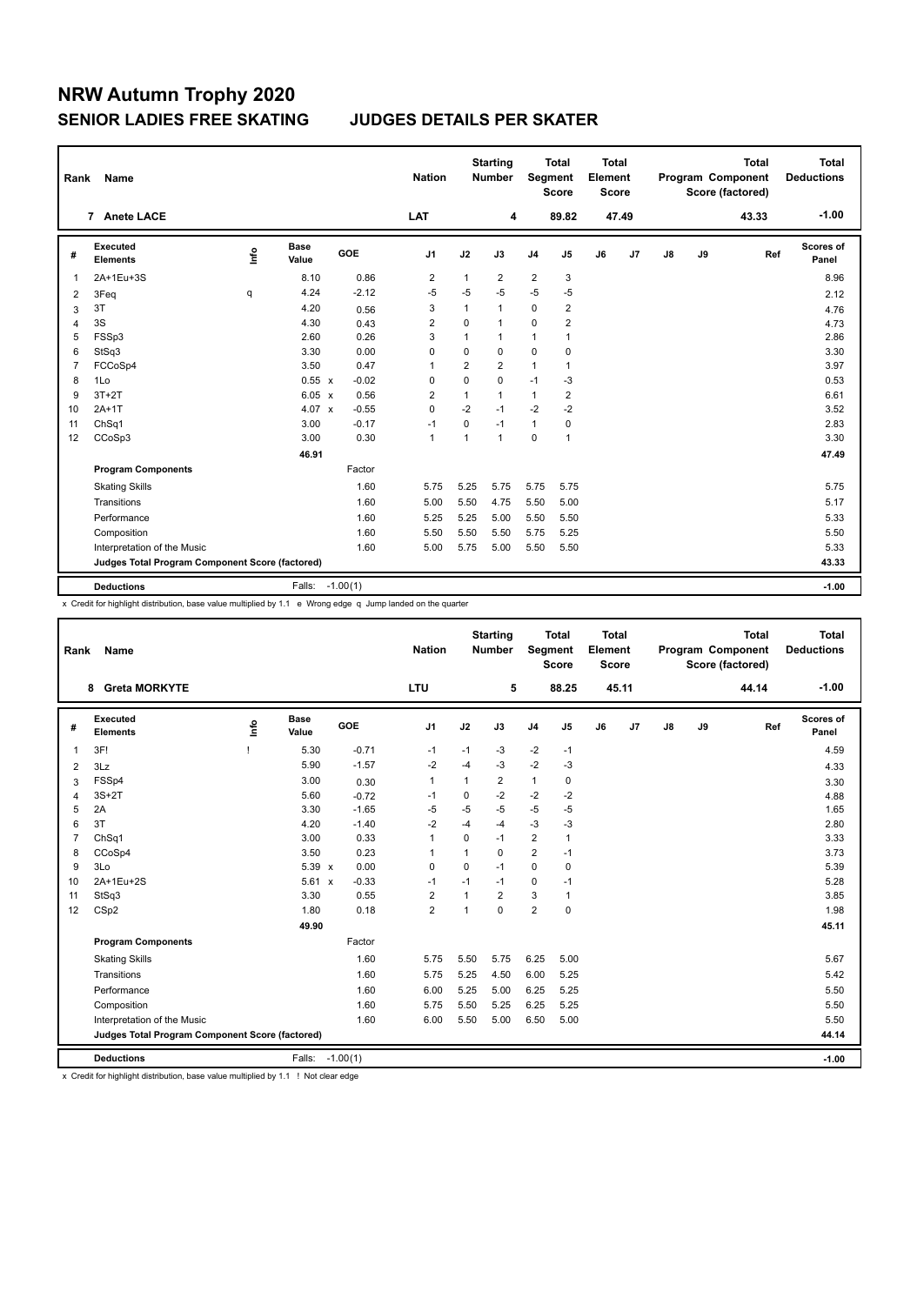| Rank           | Name                                            |      |                      |            | <b>Nation</b>  |             | <b>Starting</b><br><b>Number</b> | Segment        | <b>Total</b><br><b>Score</b> | <b>Total</b><br>Element<br><b>Score</b> |                |               |    | <b>Total</b><br>Program Component<br>Score (factored) | <b>Total</b><br><b>Deductions</b> |
|----------------|-------------------------------------------------|------|----------------------|------------|----------------|-------------|----------------------------------|----------------|------------------------------|-----------------------------------------|----------------|---------------|----|-------------------------------------------------------|-----------------------------------|
|                | 7 Anete LACE                                    |      |                      |            | LAT            |             | 4                                |                | 89.82                        |                                         | 47.49          |               |    | 43.33                                                 | $-1.00$                           |
| #              | <b>Executed</b><br><b>Elements</b>              | lnfo | <b>Base</b><br>Value | <b>GOE</b> | J1             | J2          | J3                               | J <sub>4</sub> | J5                           | J6                                      | J <sub>7</sub> | $\mathsf{J}8$ | J9 | Ref                                                   | Scores of<br>Panel                |
| 1              | 2A+1Eu+3S                                       |      | 8.10                 | 0.86       | 2              | 1           | 2                                | $\overline{2}$ | 3                            |                                         |                |               |    |                                                       | 8.96                              |
| 2              | 3Feq                                            | q    | 4.24                 | $-2.12$    | $-5$           | $-5$        | $-5$                             | $-5$           | $-5$                         |                                         |                |               |    |                                                       | 2.12                              |
| 3              | 3T                                              |      | 4.20                 | 0.56       | 3              | 1           | $\mathbf{1}$                     | 0              | $\overline{2}$               |                                         |                |               |    |                                                       | 4.76                              |
| 4              | 3S                                              |      | 4.30                 | 0.43       | $\overline{2}$ | $\Omega$    | $\mathbf{1}$                     | 0              | $\overline{2}$               |                                         |                |               |    |                                                       | 4.73                              |
| 5              | FSSp3                                           |      | 2.60                 | 0.26       | 3              | 1           | 1                                | 1              | 1                            |                                         |                |               |    |                                                       | 2.86                              |
| 6              | StSq3                                           |      | 3.30                 | 0.00       | $\mathbf 0$    | $\mathbf 0$ | $\mathbf 0$                      | $\mathbf 0$    | $\mathbf 0$                  |                                         |                |               |    |                                                       | 3.30                              |
| $\overline{7}$ | FCCoSp4                                         |      | 3.50                 | 0.47       | $\overline{1}$ | 2           | $\overline{2}$                   | $\mathbf{1}$   | 1                            |                                         |                |               |    |                                                       | 3.97                              |
| 8              | 1Lo                                             |      | $0.55 \times$        | $-0.02$    | 0              | 0           | $\mathbf 0$                      | $-1$           | $-3$                         |                                         |                |               |    |                                                       | 0.53                              |
| 9              | $3T+2T$                                         |      | 6.05 x               | 0.56       | $\overline{2}$ | 1           | $\mathbf{1}$                     | $\mathbf{1}$   | $\overline{2}$               |                                         |                |               |    |                                                       | 6.61                              |
| 10             | $2A+1T$                                         |      | 4.07 $\times$        | $-0.55$    | $\mathbf 0$    | $-2$        | $-1$                             | $-2$           | $-2$                         |                                         |                |               |    |                                                       | 3.52                              |
| 11             | ChSq1                                           |      | 3.00                 | $-0.17$    | $-1$           | $\Omega$    | $-1$                             | $\mathbf{1}$   | 0                            |                                         |                |               |    |                                                       | 2.83                              |
| 12             | CCoSp3                                          |      | 3.00                 | 0.30       | $\overline{1}$ | 1           | $\mathbf{1}$                     | $\Omega$       | $\mathbf{1}$                 |                                         |                |               |    |                                                       | 3.30                              |
|                |                                                 |      | 46.91                |            |                |             |                                  |                |                              |                                         |                |               |    |                                                       | 47.49                             |
|                | <b>Program Components</b>                       |      |                      | Factor     |                |             |                                  |                |                              |                                         |                |               |    |                                                       |                                   |
|                | <b>Skating Skills</b>                           |      |                      | 1.60       | 5.75           | 5.25        | 5.75                             | 5.75           | 5.75                         |                                         |                |               |    |                                                       | 5.75                              |
|                | Transitions                                     |      |                      | 1.60       | 5.00           | 5.50        | 4.75                             | 5.50           | 5.00                         |                                         |                |               |    |                                                       | 5.17                              |
|                | Performance                                     |      |                      | 1.60       | 5.25           | 5.25        | 5.00                             | 5.50           | 5.50                         |                                         |                |               |    |                                                       | 5.33                              |
|                | Composition                                     |      |                      | 1.60       | 5.50           | 5.50        | 5.50                             | 5.75           | 5.25                         |                                         |                |               |    |                                                       | 5.50                              |
|                | Interpretation of the Music                     |      |                      | 1.60       | 5.00           | 5.75        | 5.00                             | 5.50           | 5.50                         |                                         |                |               |    |                                                       | 5.33                              |
|                | Judges Total Program Component Score (factored) |      |                      |            |                |             |                                  |                |                              |                                         |                |               |    |                                                       | 43.33                             |
|                | <b>Deductions</b>                               |      | Falls: -1.00(1)      |            |                |             |                                  |                |                              |                                         |                |               |    |                                                       | $-1.00$                           |

x Credit for highlight distribution, base value multiplied by 1.1 e Wrong edge q Jump landed on the quarter

| Rank           | Name                                            |    |                      |            | <b>Nation</b>  |              | <b>Starting</b><br><b>Number</b> |                | <b>Total</b><br>Segment<br><b>Score</b> | <b>Total</b><br>Element<br><b>Score</b> |       |               |    | <b>Total</b><br>Program Component<br>Score (factored) | <b>Total</b><br><b>Deductions</b> |
|----------------|-------------------------------------------------|----|----------------------|------------|----------------|--------------|----------------------------------|----------------|-----------------------------------------|-----------------------------------------|-------|---------------|----|-------------------------------------------------------|-----------------------------------|
|                | <b>Greta MORKYTE</b><br>8                       |    |                      |            | <b>LTU</b>     |              | 5                                |                | 88.25                                   |                                         | 45.11 |               |    | 44.14                                                 | $-1.00$                           |
| #              | <b>Executed</b><br><b>Elements</b>              | ۴ů | <b>Base</b><br>Value | GOE        | J <sub>1</sub> | J2           | J3                               | J <sub>4</sub> | J5                                      | J6                                      | J7    | $\mathsf{J}8$ | J9 | Ref                                                   | Scores of<br>Panel                |
| 1              | 3F!                                             |    | 5.30                 | $-0.71$    | $-1$           | $-1$         | -3                               | $-2$           | $-1$                                    |                                         |       |               |    |                                                       | 4.59                              |
| $\overline{2}$ | 3Lz                                             |    | 5.90                 | $-1.57$    | $-2$           | $-4$         | $-3$                             | $-2$           | $-3$                                    |                                         |       |               |    |                                                       | 4.33                              |
| 3              | FSSp4                                           |    | 3.00                 | 0.30       | $\mathbf{1}$   | $\mathbf{1}$ | 2                                | $\mathbf{1}$   | 0                                       |                                         |       |               |    |                                                       | 3.30                              |
| $\overline{4}$ | $3S+2T$                                         |    | 5.60                 | $-0.72$    | $-1$           | 0            | $-2$                             | $-2$           | $-2$                                    |                                         |       |               |    |                                                       | 4.88                              |
| 5              | 2A                                              |    | 3.30                 | $-1.65$    | $-5$           | $-5$         | $-5$                             | $-5$           | $-5$                                    |                                         |       |               |    |                                                       | 1.65                              |
| 6              | 3T                                              |    | 4.20                 | $-1.40$    | $-2$           | $-4$         | $-4$                             | $-3$           | $-3$                                    |                                         |       |               |    |                                                       | 2.80                              |
| $\overline{7}$ | ChSq1                                           |    | 3.00                 | 0.33       | 1              | 0            | $-1$                             | $\overline{2}$ | $\mathbf{1}$                            |                                         |       |               |    |                                                       | 3.33                              |
| 8              | CCoSp4                                          |    | 3.50                 | 0.23       | 1              | $\mathbf{1}$ | $\Omega$                         | $\overline{2}$ | $-1$                                    |                                         |       |               |    |                                                       | 3.73                              |
| 9              | 3Lo                                             |    | 5.39 x               | 0.00       | $\Omega$       | 0            | $-1$                             | $\mathbf 0$    | $\pmb{0}$                               |                                         |       |               |    |                                                       | 5.39                              |
| 10             | 2A+1Eu+2S                                       |    | 5.61 x               | $-0.33$    | $-1$           | $-1$         | $-1$                             | $\Omega$       | $-1$                                    |                                         |       |               |    |                                                       | 5.28                              |
| 11             | StSq3                                           |    | 3.30                 | 0.55       | $\overline{2}$ | 1            | $\overline{2}$                   | 3              | $\mathbf{1}$                            |                                         |       |               |    |                                                       | 3.85                              |
| 12             | CSp2                                            |    | 1.80                 | 0.18       | $\overline{2}$ | 1            | $\Omega$                         | $\overline{2}$ | $\mathbf 0$                             |                                         |       |               |    |                                                       | 1.98                              |
|                |                                                 |    | 49.90                |            |                |              |                                  |                |                                         |                                         |       |               |    |                                                       | 45.11                             |
|                | <b>Program Components</b>                       |    |                      | Factor     |                |              |                                  |                |                                         |                                         |       |               |    |                                                       |                                   |
|                | <b>Skating Skills</b>                           |    |                      | 1.60       | 5.75           | 5.50         | 5.75                             | 6.25           | 5.00                                    |                                         |       |               |    |                                                       | 5.67                              |
|                | Transitions                                     |    |                      | 1.60       | 5.75           | 5.25         | 4.50                             | 6.00           | 5.25                                    |                                         |       |               |    |                                                       | 5.42                              |
|                | Performance                                     |    |                      | 1.60       | 6.00           | 5.25         | 5.00                             | 6.25           | 5.25                                    |                                         |       |               |    |                                                       | 5.50                              |
|                | Composition                                     |    |                      | 1.60       | 5.75           | 5.50         | 5.25                             | 6.25           | 5.25                                    |                                         |       |               |    |                                                       | 5.50                              |
|                | Interpretation of the Music                     |    |                      | 1.60       | 6.00           | 5.50         | 5.00                             | 6.50           | 5.00                                    |                                         |       |               |    |                                                       | 5.50                              |
|                | Judges Total Program Component Score (factored) |    |                      |            |                |              |                                  |                |                                         |                                         |       |               |    |                                                       | 44.14                             |
|                | <b>Deductions</b>                               |    | Falls:               | $-1.00(1)$ |                |              |                                  |                |                                         |                                         |       |               |    |                                                       | $-1.00$                           |

x Credit for highlight distribution, base value multiplied by 1.1 ! Not clear edge